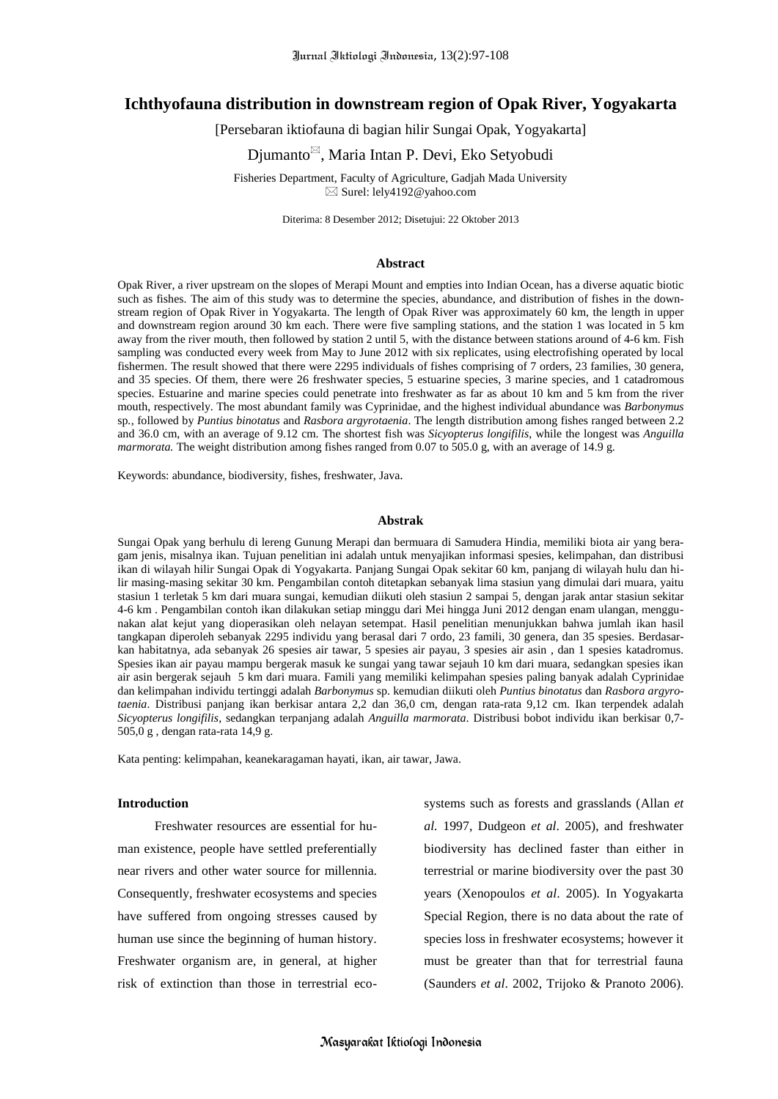# **Ichthyofauna distribution in downstream region of Opak River, Yogyakarta**

[Persebaran iktiofauna di bagian hilir Sungai Opak, Yogyakarta]

Diumanto<sup>⊠</sup>, Maria Intan P. Devi, Eko Setyobudi

Fisheries Department, Faculty of Agriculture, Gadjah Mada University  $\boxtimes$  Surel: lely4192@yahoo.com

Diterima: 8 Desember 2012; Disetujui: 22 Oktober 2013

### **Abstract**

Opak River, a river upstream on the slopes of Merapi Mount and empties into Indian Ocean, has a diverse aquatic biotic such as fishes. The aim of this study was to determine the species, abundance, and distribution of fishes in the downstream region of Opak River in Yogyakarta. The length of Opak River was approximately 60 km, the length in upper and downstream region around 30 km each. There were five sampling stations, and the station 1 was located in 5 km away from the river mouth, then followed by station 2 until 5, with the distance between stations around of 4-6 km. Fish sampling was conducted every week from May to June 2012 with six replicates, using electrofishing operated by local fishermen. The result showed that there were 2295 individuals of fishes comprising of 7 orders, 23 families, 30 genera, and 35 species. Of them, there were 26 freshwater species, 5 estuarine species, 3 marine species, and 1 catadromous species. Estuarine and marine species could penetrate into freshwater as far as about 10 km and 5 km from the river mouth, respectively. The most abundant family was Cyprinidae, and the highest individual abundance was *Barbonymus*  sp*.*, followed by *Puntius binotatus* and *Rasbora argyrotaenia*. The length distribution among fishes ranged between 2.2 and 36.0 cm, with an average of 9.12 cm. The shortest fish was *Sicyopterus longifilis*, while the longest was *Anguilla marmorata.* The weight distribution among fishes ranged from 0.07 to 505.0 g, with an average of 14.9 g.

Keywords: abundance, biodiversity, fishes, freshwater, Java.

## **Abstrak**

Sungai Opak yang berhulu di lereng Gunung Merapi dan bermuara di Samudera Hindia, memiliki biota air yang beragam jenis, misalnya ikan. Tujuan penelitian ini adalah untuk menyajikan informasi spesies, kelimpahan, dan distribusi ikan di wilayah hilir Sungai Opak di Yogyakarta. Panjang Sungai Opak sekitar 60 km, panjang di wilayah hulu dan hilir masing-masing sekitar 30 km. Pengambilan contoh ditetapkan sebanyak lima stasiun yang dimulai dari muara, yaitu stasiun 1 terletak 5 km dari muara sungai, kemudian diikuti oleh stasiun 2 sampai 5, dengan jarak antar stasiun sekitar 4-6 km . Pengambilan contoh ikan dilakukan setiap minggu dari Mei hingga Juni 2012 dengan enam ulangan, menggunakan alat kejut yang dioperasikan oleh nelayan setempat. Hasil penelitian menunjukkan bahwa jumlah ikan hasil tangkapan diperoleh sebanyak 2295 individu yang berasal dari 7 ordo, 23 famili, 30 genera, dan 35 spesies. Berdasarkan habitatnya, ada sebanyak 26 spesies air tawar, 5 spesies air payau, 3 spesies air asin , dan 1 spesies katadromus. Spesies ikan air payau mampu bergerak masuk ke sungai yang tawar sejauh 10 km dari muara, sedangkan spesies ikan air asin bergerak sejauh 5 km dari muara. Famili yang memiliki kelimpahan spesies paling banyak adalah Cyprinidae dan kelimpahan individu tertinggi adalah *Barbonymus* sp. kemudian diikuti oleh *Puntius binotatus* dan *Rasbora argyrotaenia*. Distribusi panjang ikan berkisar antara 2,2 dan 36,0 cm, dengan rata-rata 9,12 cm. Ikan terpendek adalah *Sicyopterus longifilis*, sedangkan terpanjang adalah *Anguilla marmorata*. Distribusi bobot individu ikan berkisar 0,7- 505,0 g , dengan rata-rata 14,9 g.

Kata penting: kelimpahan, keanekaragaman hayati, ikan, air tawar, Jawa.

#### **Introduction**

Freshwater resources are essential for human existence, people have settled preferentially near rivers and other water source for millennia. Consequently, freshwater ecosystems and species have suffered from ongoing stresses caused by human use since the beginning of human history. Freshwater organism are, in general, at higher risk of extinction than those in terrestrial eco-

systems such as forests and grasslands (Allan *et al.* 1997, Dudgeon *et al*. 2005), and freshwater biodiversity has declined faster than either in terrestrial or marine biodiversity over the past 30 years (Xenopoulos *et al*. 2005). In Yogyakarta Special Region, there is no data about the rate of species loss in freshwater ecosystems; however it must be greater than that for terrestrial fauna (Saunders *et al*. 2002, Trijoko & Pranoto 2006).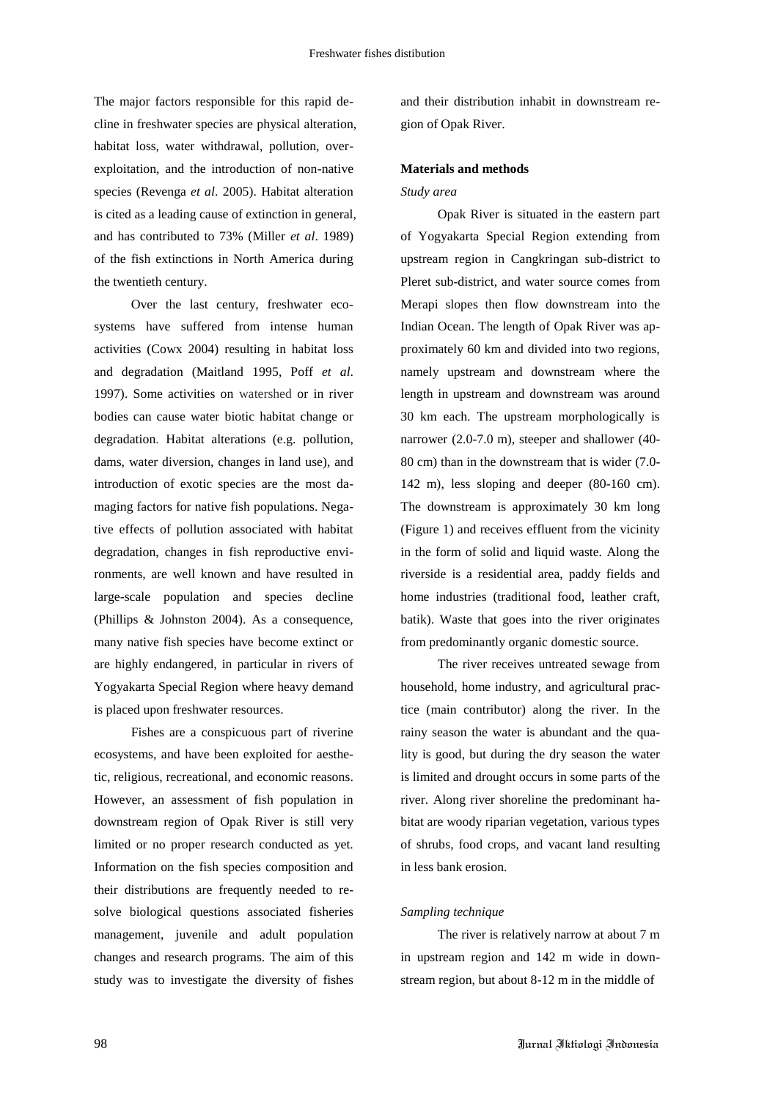The major factors responsible for this rapid decline in freshwater species are physical alteration, habitat loss, water withdrawal, pollution, overexploitation, and the introduction of non-native species (Revenga *et al*. 2005). Habitat alteration is cited as a leading cause of extinction in general, and has contributed to 73% (Miller *et al*. 1989) of the fish extinctions in North America during the twentieth century.

Over the last century, freshwater ecosystems have suffered from intense human activities (Cowx 2004) resulting in habitat loss and degradation (Maitland 1995, Poff *et al*. 1997). Some activities on watershed or in river bodies can cause water biotic habitat change or degradation. Habitat alterations (e.g. pollution, dams, water diversion, changes in land use), and introduction of exotic species are the most damaging factors for native fish populations. Negative effects of pollution associated with habitat degradation, changes in fish reproductive environments, are well known and have resulted in large-scale population and species decline (Phillips & Johnston 2004). As a consequence, many native fish species have become extinct or are highly endangered, in particular in rivers of Yogyakarta Special Region where heavy demand is placed upon freshwater resources.

Fishes are a conspicuous part of riverine ecosystems, and have been exploited for aesthetic, religious, recreational, and economic reasons. However, an assessment of fish population in downstream region of Opak River is still very limited or no proper research conducted as yet. Information on the fish species composition and their distributions are frequently needed to resolve biological questions associated fisheries management, juvenile and adult population changes and research programs. The aim of this study was to investigate the diversity of fishes and their distribution inhabit in downstream region of Opak River.

## **Materials and methods**

## *Study area*

Opak River is situated in the eastern part of Yogyakarta Special Region extending from upstream region in Cangkringan sub-district to Pleret sub-district, and water source comes from Merapi slopes then flow downstream into the Indian Ocean. The length of Opak River was approximately 60 km and divided into two regions, namely upstream and downstream where the length in upstream and downstream was around 30 km each. The upstream morphologically is narrower (2.0-7.0 m), steeper and shallower (40- 80 cm) than in the downstream that is wider (7.0- 142 m), less sloping and deeper (80-160 cm). The downstream is approximately 30 km long (Figure 1) and receives effluent from the vicinity in the form of solid and liquid waste. Along the riverside is a residential area, paddy fields and home industries (traditional food, leather craft, batik). Waste that goes into the river originates from predominantly organic domestic source.

The river receives untreated sewage from household, home industry, and agricultural practice (main contributor) along the river. In the rainy season the water is abundant and the quality is good, but during the dry season the water is limited and drought occurs in some parts of the river. Along river shoreline the predominant habitat are woody riparian vegetation, various types of shrubs, food crops, and vacant land resulting in less bank erosion.

### *Sampling technique*

The river is relatively narrow at about 7 m in upstream region and 142 m wide in downstream region, but about 8-12 m in the middle of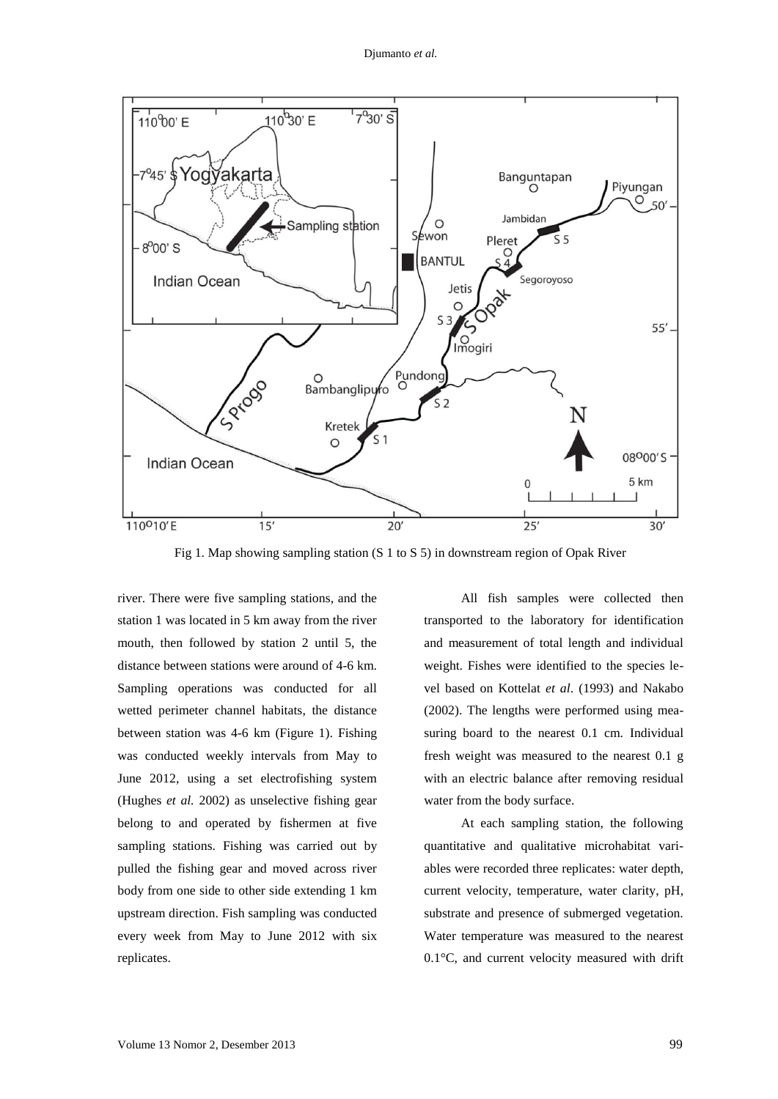

Fig 1. Map showing sampling station (S 1 to S 5) in downstream region of Opak River

river. There were five sampling stations, and the station 1 was located in 5 km away from the river mouth, then followed by station 2 until 5, the distance between stations were around of 4-6 km. Sampling operations was conducted for all wetted perimeter channel habitats, the distance between station was 4-6 km (Figure 1). Fishing was conducted weekly intervals from May to June 2012, using a set electrofishing system (Hughes *et al.* 2002) as unselective fishing gear belong to and operated by fishermen at five sampling stations. Fishing was carried out by pulled the fishing gear and moved across river body from one side to other side extending 1 km upstream direction. Fish sampling was conducted every week from May to June 2012 with six replicates.

All fish samples were collected then transported to the laboratory for identification and measurement of total length and individual weight. Fishes were identified to the species level based on Kottelat *et al*. (1993) and Nakabo (2002). The lengths were performed using measuring board to the nearest 0.1 cm. Individual fresh weight was measured to the nearest 0.1 g with an electric balance after removing residual water from the body surface.

At each sampling station, the following quantitative and qualitative microhabitat variables were recorded three replicates: water depth, current velocity, temperature, water clarity, pH, substrate and presence of submerged vegetation. Water temperature was measured to the nearest 0.1°C, and current velocity measured with drift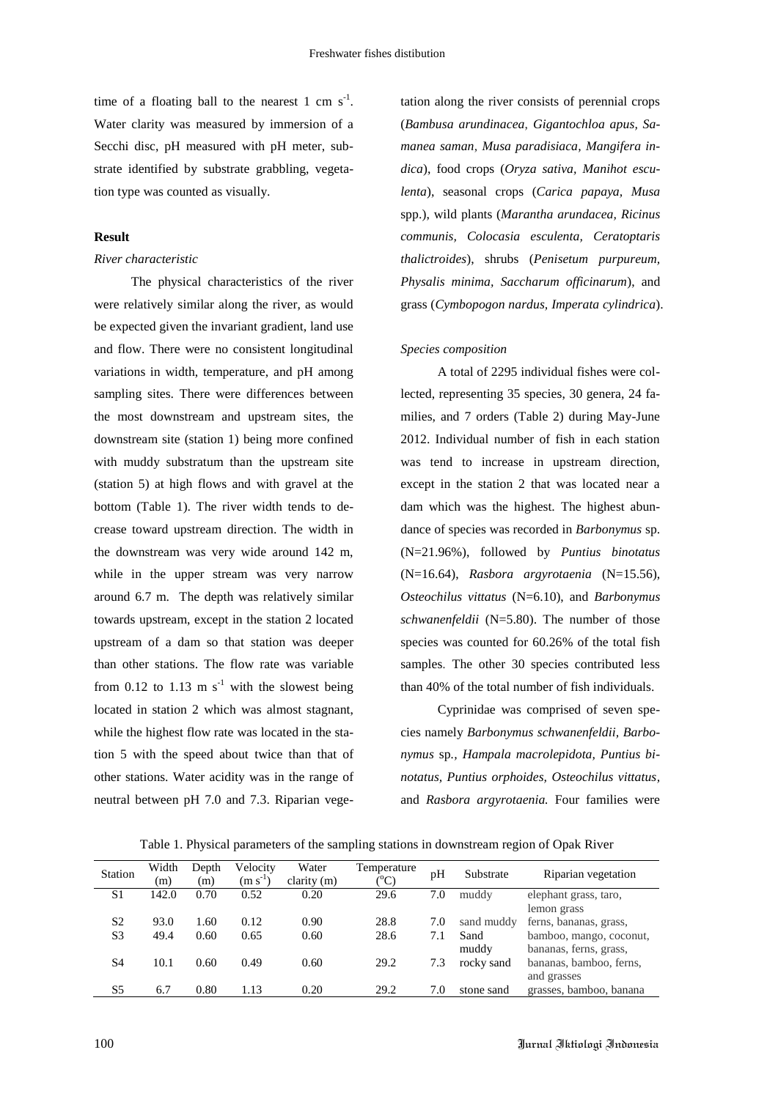time of a floating ball to the nearest 1 cm  $s^{-1}$ . Water clarity was measured by immersion of a Secchi disc, pH measured with pH meter, substrate identified by substrate grabbling, vegetation type was counted as visually.

## **Result**

#### *River characteristic*

The physical characteristics of the river were relatively similar along the river, as would be expected given the invariant gradient, land use and flow. There were no consistent longitudinal variations in width, temperature, and pH among sampling sites. There were differences between the most downstream and upstream sites, the downstream site (station 1) being more confined with muddy substratum than the upstream site (station 5) at high flows and with gravel at the bottom (Table 1). The river width tends to decrease toward upstream direction. The width in the downstream was very wide around 142 m, while in the upper stream was very narrow around 6.7 m. The depth was relatively similar towards upstream, except in the station 2 located upstream of a dam so that station was deeper than other stations. The flow rate was variable from 0.12 to 1.13 m  $s^{-1}$  with the slowest being located in station 2 which was almost stagnant, while the highest flow rate was located in the station 5 with the speed about twice than that of other stations. Water acidity was in the range of neutral between pH 7.0 and 7.3. Riparian vege-

tation along the river consists of perennial crops (*Bambusa arundinacea*, *Gigantochloa apus, Samanea saman*, *Musa paradisiaca, Mangifera indica*), food crops (*Oryza sativa, Manihot esculenta*), seasonal crops (*Carica papaya, Musa*  spp.), wild plants (*Marantha arundacea, Ricinus communis, Colocasia esculenta, Ceratoptaris thalictroides*), shrubs (*Penisetum purpureum, Physalis minima, Saccharum officinarum*), and grass (*Cymbopogon nardus, Imperata cylindrica*).

#### *Species composition*

A total of 2295 individual fishes were collected, representing 35 species, 30 genera, 24 families, and 7 orders (Table 2) during May-June 2012. Individual number of fish in each station was tend to increase in upstream direction, except in the station 2 that was located near a dam which was the highest. The highest abundance of species was recorded in *Barbonymus* sp. (N=21.96%), followed by *Puntius binotatus* (N=16.64), *Rasbora argyrotaenia* (N=15.56), *Osteochilus vittatus* (N=6.10), and *Barbonymus schwanenfeldii* (N=5.80). The number of those species was counted for 60.26% of the total fish samples. The other 30 species contributed less than 40% of the total number of fish individuals.

Cyprinidae was comprised of seven species namely *Barbonymus schwanenfeldii, Barbonymus* sp*., Hampala macrolepidota, Puntius binotatus, Puntius orphoides, Osteochilus vittatus,* and *Rasbora argyrotaenia.* Four families were

| <b>Station</b> | Width<br>(m) | Depth<br>(m) | Velocity<br>$(m s^{-1})$ | Water<br>clarity (m) | Temperature<br>${}^{(0}C)$ | pH  | Substrate  | Riparian vegetation     |  |  |
|----------------|--------------|--------------|--------------------------|----------------------|----------------------------|-----|------------|-------------------------|--|--|
| S <sub>1</sub> | 142.0        | 0.70         | 0.52                     | 0.20                 | 29.6                       | 7.0 | muddy      | elephant grass, taro,   |  |  |
|                |              |              |                          |                      |                            |     |            | lemon grass             |  |  |
| S <sub>2</sub> | 93.0         | 1.60         | 0.12                     | 0.90                 | 28.8                       | 7.0 | sand muddy | ferns, bananas, grass,  |  |  |
| S <sub>3</sub> | 49.4         | 0.60         | 0.65                     | 0.60                 | 28.6                       | 7.1 | Sand       | bamboo, mango, coconut, |  |  |
|                |              |              |                          |                      |                            |     | muddy      | bananas, ferns, grass,  |  |  |
| S4             | 10.1         | 0.60         | 0.49                     | 0.60                 | 29.2                       | 7.3 | rocky sand | bananas, bamboo, ferns, |  |  |
|                |              |              |                          |                      |                            |     |            | and grasses             |  |  |
| S5             | 6.7          | 0.80         | 1.13                     | 0.20                 | 29.2                       | 7.0 | stone sand | grasses, bamboo, banana |  |  |

Table 1. Physical parameters of the sampling stations in downstream region of Opak River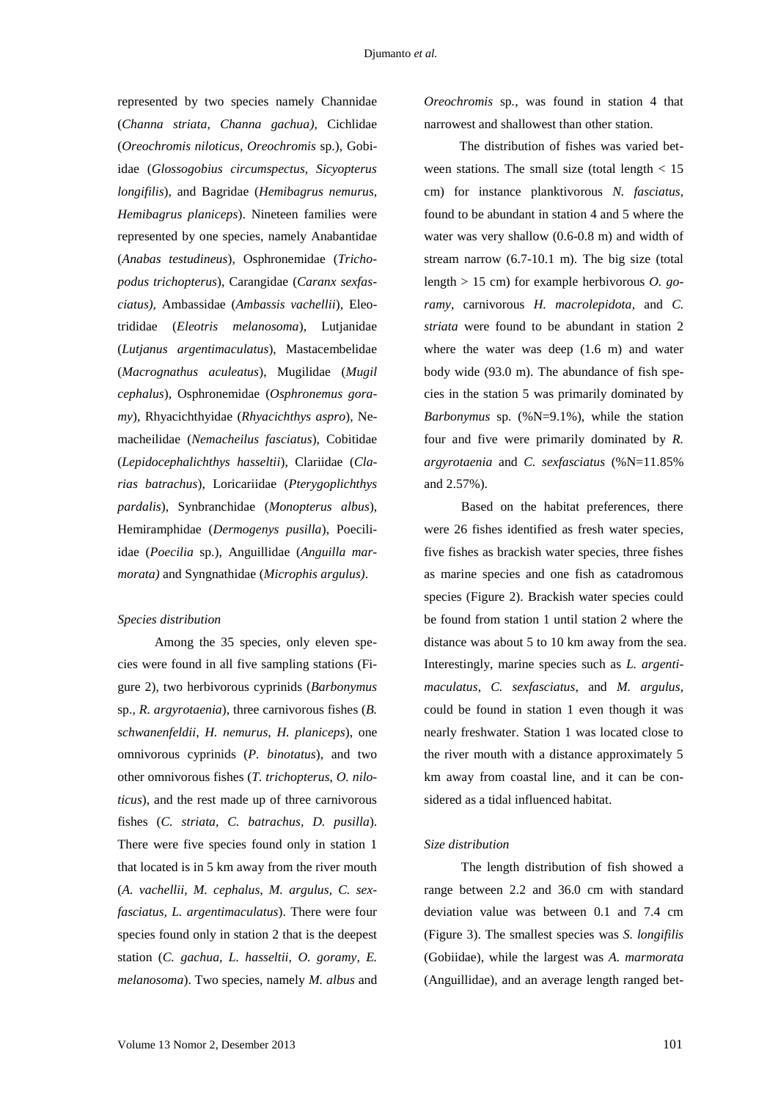represented by two species namely Channidae (*Channa striata, Channa gachua),* Cichlidae (*Oreochromis niloticus, Oreochromis* sp.), Gobiidae (*Glossogobius circumspectus, Sicyopterus longifilis*), and Bagridae (*Hemibagrus nemurus, Hemibagrus planiceps*). Nineteen families were represented by one species, namely Anabantidae (*Anabas testudineus*), Osphronemidae (*Trichopodus trichopterus*), Carangidae (*Caranx sexfasciatus),* Ambassidae (*Ambassis vachellii*), Eleotrididae (*Eleotris melanosoma*), Lutjanidae (*Lutjanus argentimaculatus*), Mastacembelidae (*Macrognathus aculeatus*), Mugilidae (*Mugil cephalus*), Osphronemidae (*Osphronemus goramy*), Rhyacichthyidae (*Rhyacichthys aspro*), Nemacheilidae (*Nemacheilus fasciatus*), Cobitidae (*Lepidocephalichthys hasseltii*), Clariidae (*Clarias batrachus*), Loricariidae (*Pterygoplichthys pardalis*), Synbranchidae (*Monopterus albus*), Hemiramphidae (*Dermogenys pusilla*), Poeciliidae (*Poecilia* sp.), Anguillidae (*Anguilla marmorata)* and Syngnathidae (*Microphis argulus)*.

### *Species distribution*

Among the 35 species, only eleven species were found in all five sampling stations (Figure 2), two herbivorous cyprinids (*Barbonymus*  sp.*, R. argyrotaenia*), three carnivorous fishes (*B. schwanenfeldii, H. nemurus, H. planiceps*), one omnivorous cyprinids (*P. binotatus*), and two other omnivorous fishes (*T. trichopterus*, *O. niloticus*), and the rest made up of three carnivorous fishes (*C. striata, C. batrachus, D. pusilla*). There were five species found only in station 1 that located is in 5 km away from the river mouth (*A. vachellii, M. cephalus, M. argulus, C. sexfasciatus, L. argentimaculatus*). There were four species found only in station 2 that is the deepest station (*C. gachua, L. hasseltii, O. goramy, E. melanosoma*). Two species, namely *M. albus* and

*Oreochromis* sp*.*, was found in station 4 that narrowest and shallowest than other station.

The distribution of fishes was varied between stations. The small size (total length  $< 15$ ) cm) for instance planktivorous *N. fasciatus,* found to be abundant in station 4 and 5 where the water was very shallow (0.6-0.8 m) and width of stream narrow (6.7-10.1 m). The big size (total length > 15 cm) for example herbivorous *O. goramy*, carnivorous *H. macrolepidota,* and *C. striata* were found to be abundant in station 2 where the water was deep (1.6 m) and water body wide (93.0 m). The abundance of fish species in the station 5 was primarily dominated by *Barbonymus* sp*.* (%N=9.1%)*,* while the station four and five were primarily dominated by *R. argyrotaenia* and *C. sexfasciatus* (%N=11.85% and 2.57%).

Based on the habitat preferences, there were 26 fishes identified as fresh water species, five fishes as brackish water species, three fishes as marine species and one fish as catadromous species (Figure 2). Brackish water species could be found from station 1 until station 2 where the distance was about 5 to 10 km away from the sea. Interestingly, marine species such as *L. argentimaculatus*, *C. sexfasciatus*, and *M. argulus*, could be found in station 1 even though it was nearly freshwater. Station 1 was located close to the river mouth with a distance approximately 5 km away from coastal line, and it can be considered as a tidal influenced habitat.

## *Size distribution*

The length distribution of fish showed a range between 2.2 and 36.0 cm with standard deviation value was between 0.1 and 7.4 cm (Figure 3). The smallest species was *S. longifilis* (Gobiidae), while the largest was *A. marmorata*  (Anguillidae)*,* and an average length ranged bet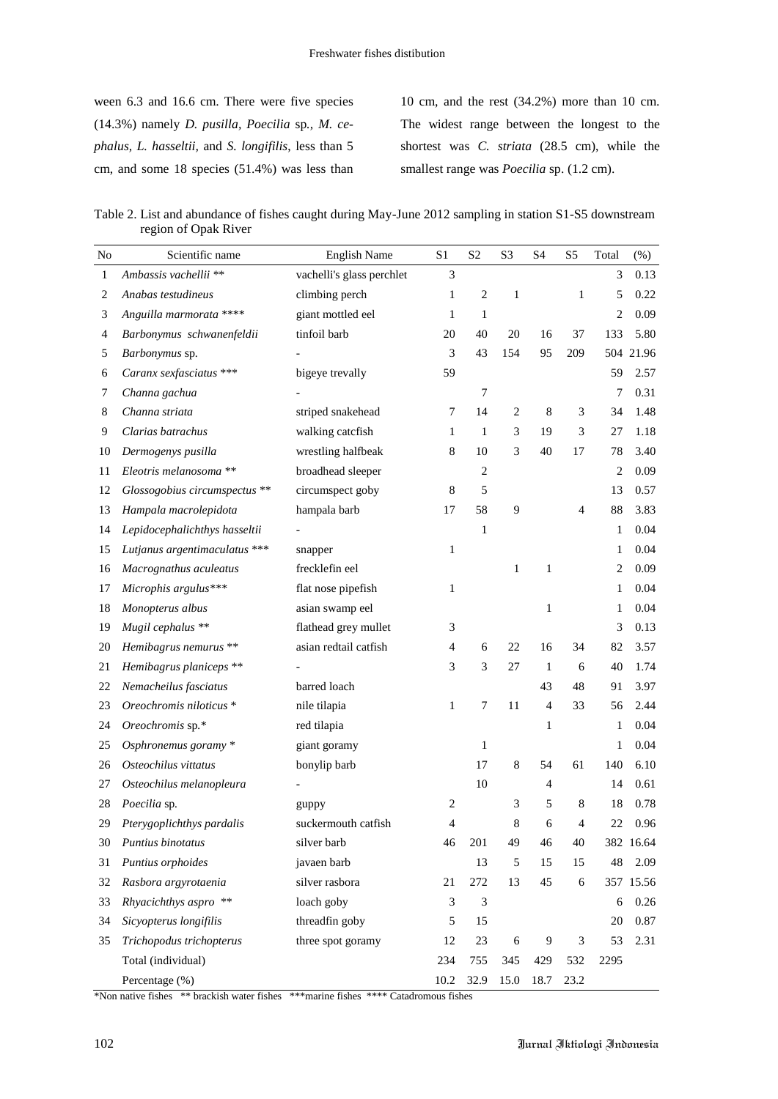ween 6.3 and 16.6 cm. There were five species (14.3%) namely *D. pusilla, Poecilia* sp*., M. cephalus, L. hasseltii,* and *S. longifilis*, less than 5 cm, and some 18 species (51.4%) was less than

10 cm, and the rest (34.2%) more than 10 cm. The widest range between the longest to the shortest was *C. striata* (28.5 cm), while the smallest range was *Poecilia* sp. (1.2 cm).

Table 2. List and abundance of fishes caught during May-June 2012 sampling in station S1-S5 downstream region of Opak River

| No           | Scientific name               | <b>English Name</b>       | S <sub>1</sub> | S <sub>2</sub> | S <sub>3</sub> | S <sub>4</sub> | S <sub>5</sub> | Total | $(\%)$    |
|--------------|-------------------------------|---------------------------|----------------|----------------|----------------|----------------|----------------|-------|-----------|
| $\mathbf{1}$ | Ambassis vachellii **         | vachelli's glass perchlet | 3              |                |                |                |                | 3     | 0.13      |
| 2            | Anabas testudineus            | climbing perch            | $\mathbf{1}$   | $\overline{2}$ | $\mathbf{1}$   |                | 1              | 5     | 0.22      |
| 3            | Anguilla marmorata ****       | giant mottled eel         | 1              | 1              |                |                |                | 2     | 0.09      |
| 4            | Barbonymus schwanenfeldii     | tinfoil barb              | 20             | 40             | 20             | 16             | 37             | 133   | 5.80      |
| 5            | Barbonymus sp.                |                           | 3              | 43             | 154            | 95             | 209            |       | 504 21.96 |
| 6            | Caranx sexfasciatus ***       | bigeye trevally           | 59             |                |                |                |                | 59    | 2.57      |
| 7            | Channa gachua                 |                           |                | $\tau$         |                |                |                | 7     | 0.31      |
| 8            | Channa striata                | striped snakehead         | 7              | 14             | $\overline{2}$ | $\,8\,$        | 3              | 34    | 1.48      |
| 9            | Clarias batrachus             | walking catcfish          | 1              | 1              | 3              | 19             | 3              | 27    | 1.18      |
| 10           | Dermogenys pusilla            | wrestling halfbeak        | 8              | 10             | 3              | 40             | 17             | 78    | 3.40      |
| 11           | Eleotris melanosoma **        | broadhead sleeper         |                | 2              |                |                |                | 2     | 0.09      |
| 12           | Glossogobius circumspectus ** | circumspect goby          | 8              | 5              |                |                |                | 13    | 0.57      |
| 13           | Hampala macrolepidota         | hampala barb              | 17             | 58             | 9              |                | 4              | 88    | 3.83      |
| 14           | Lepidocephalichthys hasseltii |                           |                | $\mathbf{1}$   |                |                |                | 1     | 0.04      |
| 15           | Lutjanus argentimaculatus *** | snapper                   | $\mathbf{1}$   |                |                |                |                | 1     | 0.04      |
| 16           | Macrognathus aculeatus        | frecklefin eel            |                |                | 1              | $\mathbf{1}$   |                | 2     | 0.09      |
| 17           | Microphis argulus***          | flat nose pipefish        | 1              |                |                |                |                | 1     | 0.04      |
| 18           | Monopterus albus              | asian swamp eel           |                |                |                | $\mathbf{1}$   |                | 1     | 0.04      |
| 19           | Mugil cephalus **             | flathead grey mullet      | 3              |                |                |                |                | 3     | 0.13      |
| 20           | Hemibagrus nemurus **         | asian redtail catfish     | $\overline{4}$ | 6              | 22             | 16             | 34             | 82    | 3.57      |
| 21           | Hemibagrus planiceps **       |                           | 3              | 3              | 27             | -1             | 6              | 40    | 1.74      |
| 22           | Nemacheilus fasciatus         | barred loach              |                |                |                | 43             | 48             | 91    | 3.97      |
| 23           | Oreochromis niloticus *       | nile tilapia              | $\mathbf{1}$   | 7              | 11             | $\overline{4}$ | 33             | 56    | 2.44      |
| 24           | Oreochromis sp.*              | red tilapia               |                |                |                | 1              |                | 1     | 0.04      |
| 25           | Osphronemus goramy *          | giant goramy              |                | 1              |                |                |                | 1     | 0.04      |
| 26           | Osteochilus vittatus          | bonylip barb              |                | 17             | 8              | 54             | 61             | 140   | 6.10      |
| 27           | Osteochilus melanopleura      |                           |                | 10             |                | 4              |                | 14    | 0.61      |
| 28           | Poecilia sp.                  | guppy                     | $\overline{c}$ |                | 3              | 5              | $\,8\,$        | 18    | 0.78      |
| 29           | Pterygoplichthys pardalis     | suckermouth catfish       | 4              |                | 8              | 6              | $\overline{4}$ | 22    | 0.96      |
| 30           | Puntius binotatus             | silver barb               | 46             | 201            | 49             | 46             | 40             |       | 382 16.64 |
| 31           | Puntius orphoides             | javaen barb               |                | 13             | 5              | 15             | 15             | 48    | 2.09      |
| 32           | Rasbora argyrotaenia          | silver rasbora            | 21             | 272            | 13             | 45             | 6              |       | 357 15.56 |
| 33           | Rhyacichthys aspro **         | loach goby                | 3              | 3              |                |                |                | 6     | 0.26      |
| 34           | Sicyopterus longifilis        | threadfin goby            | 5              | 15             |                |                |                | 20    | 0.87      |
| 35           | Trichopodus trichopterus      | three spot goramy         | 12             | 23             | 6              | 9              | 3              | 53    | 2.31      |
|              | Total (individual)            |                           | 234            | 755            | 345            | 429            | 532            | 2295  |           |
|              | Percentage (%)                |                           | 10.2           | 32.9           | 15.0           | 18.7           | 23.2           |       |           |

\*Non native fishes \*\* brackish water fishes \*\*\*marine fishes \*\*\*\* Catadromous fishes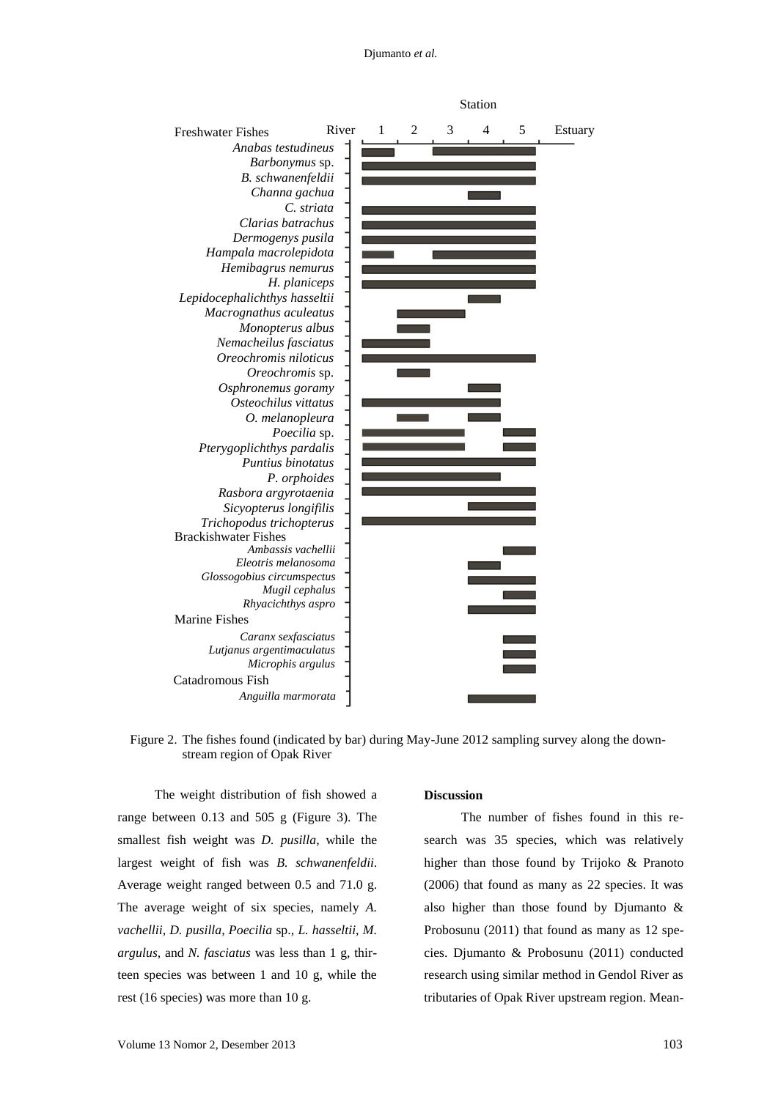#### Djumanto *et al.*



Figure 2. The fishes found (indicated by bar) during May-June 2012 sampling survey along the downstream region of Opak River

The weight distribution of fish showed a range between 0.13 and 505 g (Figure 3). The smallest fish weight was *D. pusilla*, while the largest weight of fish was *B. schwanenfeldii*. Average weight ranged between 0.5 and 71.0 g. The average weight of six species, namely *A. vachellii, D. pusilla, Poecilia* sp.*, L. hasseltii, M. argulus,* and *N. fasciatus* was less than 1 g, thirteen species was between 1 and 10 g, while the rest (16 species) was more than 10 g.

## **Discussion**

The number of fishes found in this research was 35 species, which was relatively higher than those found by Trijoko & Pranoto (2006) that found as many as 22 species. It was also higher than those found by Djumanto & Probosunu (2011) that found as many as 12 species. Djumanto & Probosunu (2011) conducted research using similar method in Gendol River as tributaries of Opak River upstream region. Mean-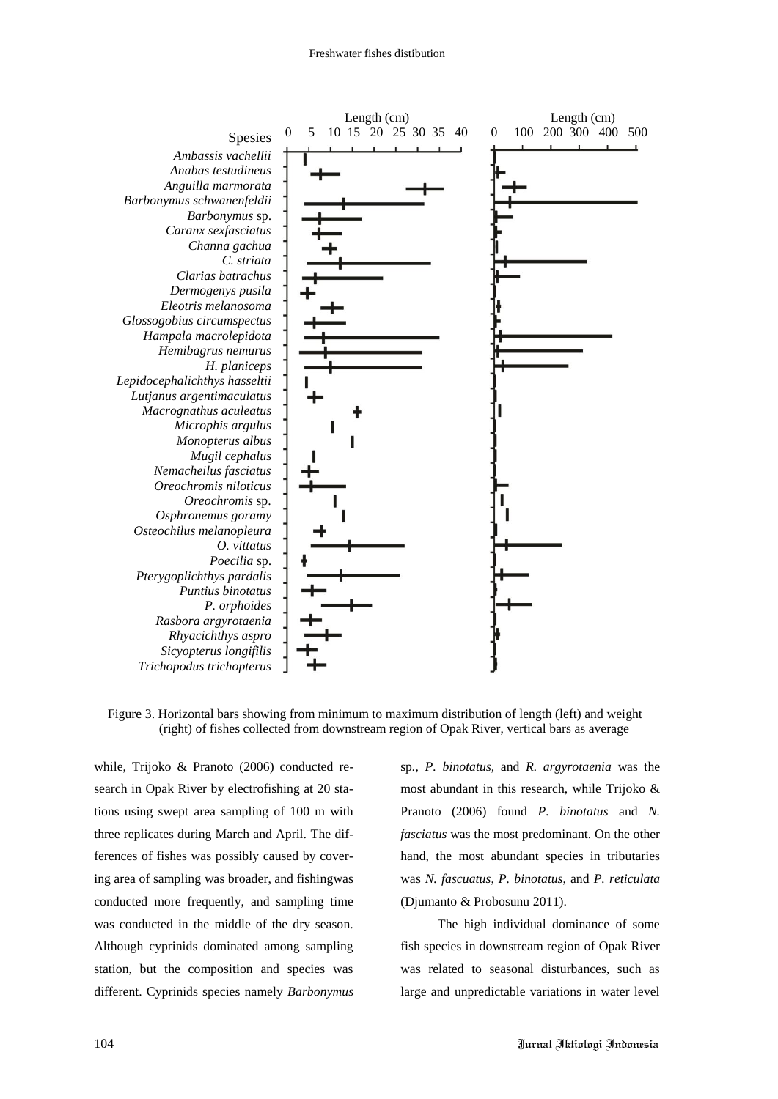

Figure 3. Horizontal bars showing from minimum to maximum distribution of length (left) and weight (right) of fishes collected from downstream region of Opak River, vertical bars as average

while, Trijoko & Pranoto (2006) conducted research in Opak River by electrofishing at 20 stations using swept area sampling of 100 m with three replicates during March and April. The differences of fishes was possibly caused by covering area of sampling was broader, and fishingwas conducted more frequently, and sampling time was conducted in the middle of the dry season. Although cyprinids dominated among sampling station, but the composition and species was different. Cyprinids species namely *Barbonymus* 

sp*., P. binotatus,* and *R. argyrotaenia* was the most abundant in this research, while Trijoko & Pranoto (2006) found *P. binotatus* and *N. fasciatus* was the most predominant. On the other hand, the most abundant species in tributaries was *N. fascuatus*, *P. binotatus*, and *P. reticulata* (Djumanto & Probosunu 2011).

The high individual dominance of some fish species in downstream region of Opak River was related to seasonal disturbances, such as large and unpredictable variations in water level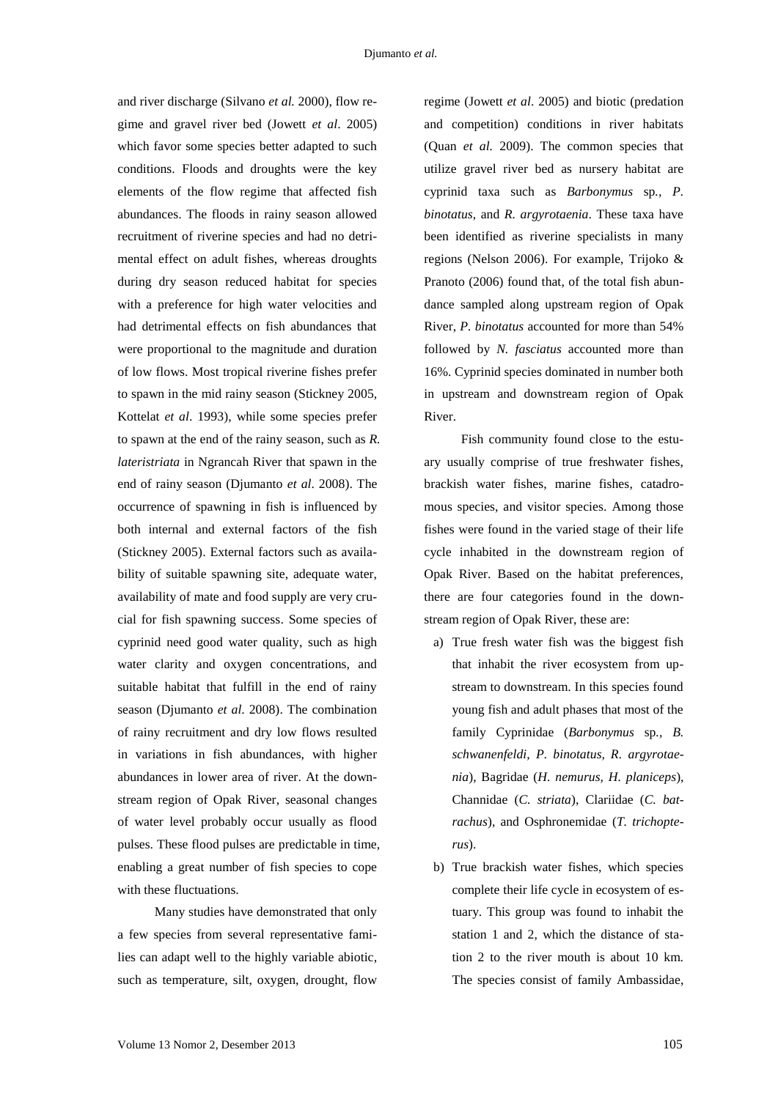and river discharge (Silvano *et al.* 2000), flow regime and gravel river bed (Jowett *et al*. 2005) which favor some species better adapted to such conditions. Floods and droughts were the key elements of the flow regime that affected fish abundances. The floods in rainy season allowed recruitment of riverine species and had no detrimental effect on adult fishes, whereas droughts during dry season reduced habitat for species with a preference for high water velocities and had detrimental effects on fish abundances that were proportional to the magnitude and duration of low flows. Most tropical riverine fishes prefer to spawn in the mid rainy season (Stickney 2005, Kottelat *et al*. 1993), while some species prefer to spawn at the end of the rainy season, such as *R. lateristriata* in Ngrancah River that spawn in the end of rainy season (Djumanto *et al*. 2008). The occurrence of spawning in fish is influenced by both internal and external factors of the fish (Stickney 2005). External factors such as availability of suitable spawning site, adequate water, availability of mate and food supply are very crucial for fish spawning success. Some species of cyprinid need good water quality, such as high water clarity and oxygen concentrations, and suitable habitat that fulfill in the end of rainy season (Djumanto *et al*. 2008). The combination of rainy recruitment and dry low flows resulted in variations in fish abundances, with higher abundances in lower area of river. At the downstream region of Opak River, seasonal changes of water level probably occur usually as flood pulses. These flood pulses are predictable in time, enabling a great number of fish species to cope with these fluctuations.

Many studies have demonstrated that only a few species from several representative families can adapt well to the highly variable abiotic, such as temperature, silt, oxygen, drought, flow

regime (Jowett *et al*. 2005) and biotic (predation and competition) conditions in river habitats (Quan *et al.* 2009). The common species that utilize gravel river bed as nursery habitat are cyprinid taxa such as *Barbonymus* sp*., P. binotatus*, and *R. argyrotaenia*. These taxa have been identified as riverine specialists in many regions (Nelson 2006). For example, Trijoko & Pranoto (2006) found that, of the total fish abundance sampled along upstream region of Opak River, *P. binotatus* accounted for more than 54% followed by *N. fasciatus* accounted more than 16%. Cyprinid species dominated in number both in upstream and downstream region of Opak River.

Fish community found close to the estuary usually comprise of true freshwater fishes, brackish water fishes, marine fishes, catadromous species, and visitor species. Among those fishes were found in the varied stage of their life cycle inhabited in the downstream region of Opak River. Based on the habitat preferences, there are four categories found in the downstream region of Opak River, these are:

- a) True fresh water fish was the biggest fish that inhabit the river ecosystem from upstream to downstream. In this species found young fish and adult phases that most of the family Cyprinidae (*Barbonymus* sp*., B. schwanenfeldi, P. binotatus, R. argyrotaenia*)*,* Bagridae (*H. nemurus, H. planiceps*), Channidae (*C. striata*), Clariidae (*C. batrachus*), and Osphronemidae (*T. trichopterus*).
- b) True brackish water fishes, which species complete their life cycle in ecosystem of estuary. This group was found to inhabit the station 1 and 2, which the distance of station 2 to the river mouth is about 10 km. The species consist of family Ambassidae,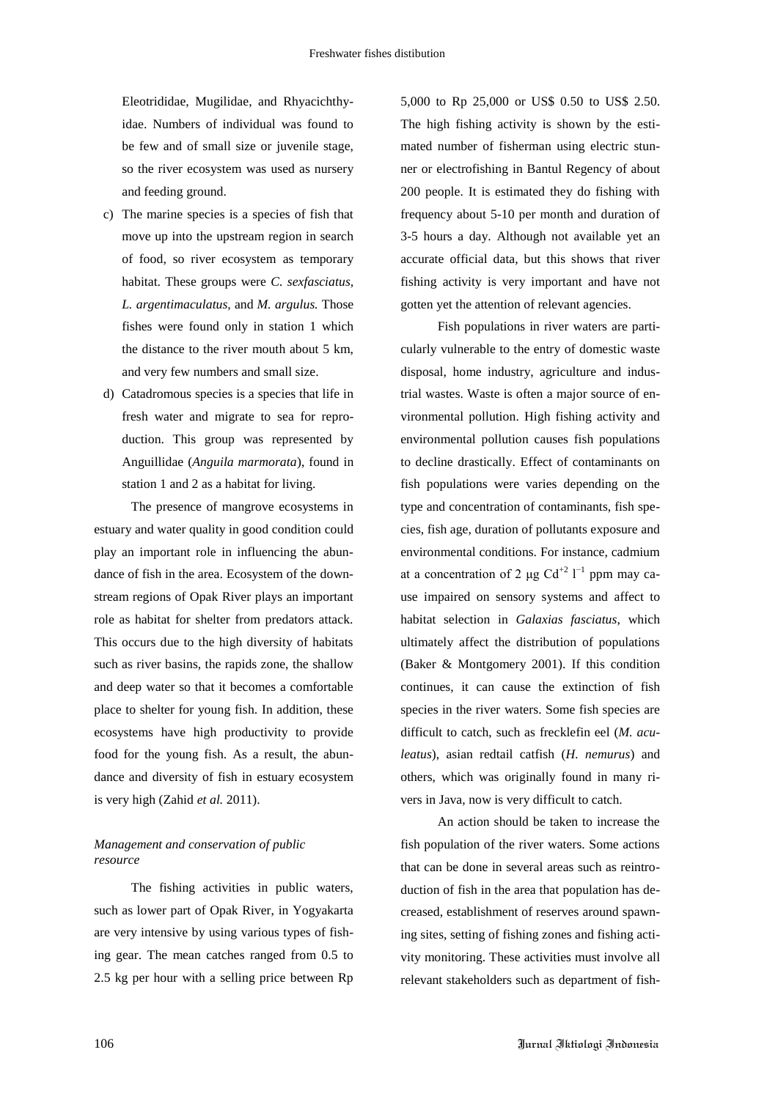Eleotrididae, Mugilidae, and Rhyacichthyidae. Numbers of individual was found to be few and of small size or juvenile stage, so the river ecosystem was used as nursery and feeding ground.

- c) The marine species is a species of fish that move up into the upstream region in search of food, so river ecosystem as temporary habitat. These groups were *C. sexfasciatus, L. argentimaculatus,* and *M. argulus.* Those fishes were found only in station 1 which the distance to the river mouth about 5 km, and very few numbers and small size.
- d) Catadromous species is a species that life in fresh water and migrate to sea for reproduction. This group was represented by Anguillidae (*Anguila marmorata*), found in station 1 and 2 as a habitat for living.

The presence of mangrove ecosystems in estuary and water quality in good condition could play an important role in influencing the abundance of fish in the area. Ecosystem of the downstream regions of Opak River plays an important role as habitat for shelter from predators attack. This occurs due to the high diversity of habitats such as river basins, the rapids zone, the shallow and deep water so that it becomes a comfortable place to shelter for young fish. In addition, these ecosystems have high productivity to provide food for the young fish. As a result, the abundance and diversity of fish in estuary ecosystem is very high (Zahid *et al.* 2011).

## *Management and conservation of public resource*

The fishing activities in public waters, such as lower part of Opak River, in Yogyakarta are very intensive by using various types of fishing gear. The mean catches ranged from 0.5 to 2.5 kg per hour with a selling price between Rp

5,000 to Rp 25,000 or US\$ 0.50 to US\$ 2.50. The high fishing activity is shown by the estimated number of fisherman using electric stunner or electrofishing in Bantul Regency of about 200 people. It is estimated they do fishing with frequency about 5-10 per month and duration of 3-5 hours a day. Although not available yet an accurate official data, but this shows that river fishing activity is very important and have not gotten yet the attention of relevant agencies.

Fish populations in river waters are particularly vulnerable to the entry of domestic waste disposal, home industry, agriculture and industrial wastes. Waste is often a major source of environmental pollution. High fishing activity and environmental pollution causes fish populations to decline drastically. Effect of contaminants on fish populations were varies depending on the type and concentration of contaminants, fish species, fish age, duration of pollutants exposure and environmental conditions. For instance, cadmium at a concentration of 2 μg Cd<sup>+2</sup>  $1^{-1}$  ppm may cause impaired on sensory systems and affect to habitat selection in *Galaxias fasciatus*, which ultimately affect the distribution of populations (Baker & Montgomery 2001). If this condition continues, it can cause the extinction of fish species in the river waters. Some fish species are difficult to catch, such as frecklefin eel (*M. aculeatus*), asian redtail catfish (*H. nemurus*) and others, which was originally found in many rivers in Java, now is very difficult to catch.

An action should be taken to increase the fish population of the river waters. Some actions that can be done in several areas such as reintroduction of fish in the area that population has decreased, establishment of reserves around spawning sites, setting of fishing zones and fishing activity monitoring. These activities must involve all relevant stakeholders such as department of fish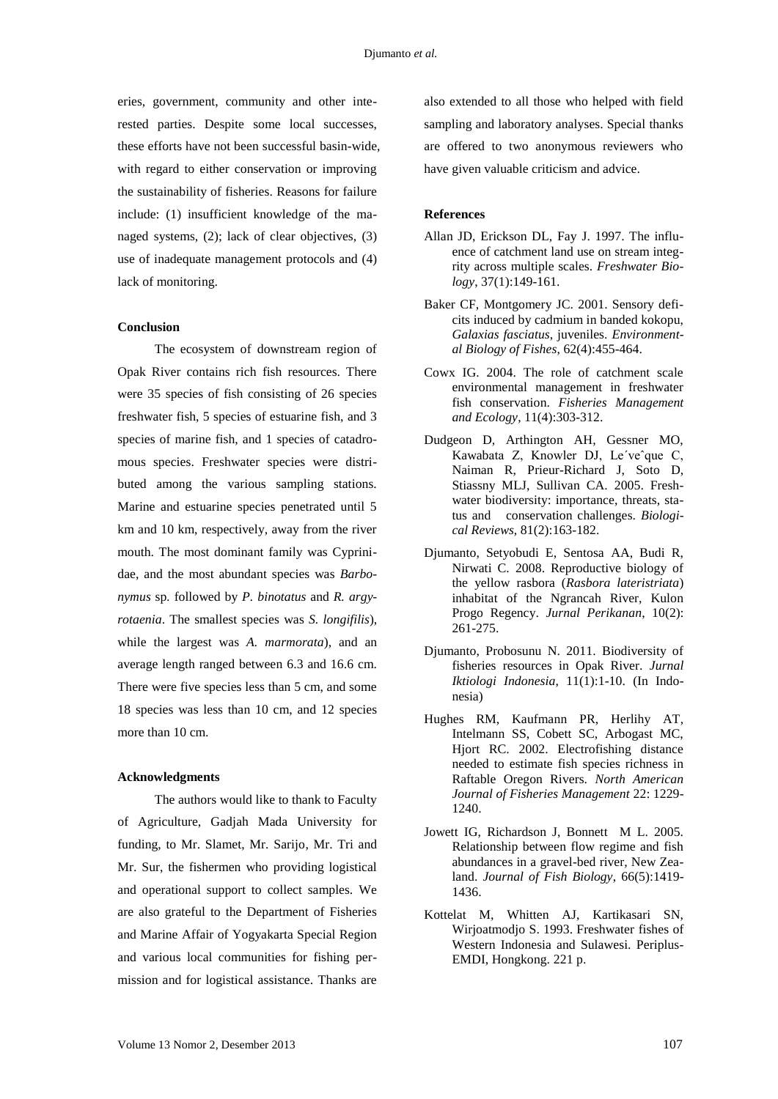eries, government, community and other interested parties. Despite some local successes, these efforts have not been successful basin-wide, with regard to either conservation or improving the sustainability of fisheries. Reasons for failure include: (1) insufficient knowledge of the managed systems, (2); lack of clear objectives, (3) use of inadequate management protocols and (4) lack of monitoring.

## **Conclusion**

The ecosystem of downstream region of Opak River contains rich fish resources. There were 35 species of fish consisting of 26 species freshwater fish, 5 species of estuarine fish, and 3 species of marine fish, and 1 species of catadromous species. Freshwater species were distributed among the various sampling stations. Marine and estuarine species penetrated until 5 km and 10 km, respectively, away from the river mouth. The most dominant family was Cyprinidae, and the most abundant species was *Barbonymus* sp*.* followed by *P. binotatus* and *R. argyrotaenia*. The smallest species was *S. longifilis*), while the largest was *A. marmorata*)*,* and an average length ranged between 6.3 and 16.6 cm. There were five species less than 5 cm, and some 18 species was less than 10 cm, and 12 species more than 10 cm.

## **Acknowledgments**

The authors would like to thank to Faculty of Agriculture, Gadjah Mada University for funding, to Mr. Slamet, Mr. Sarijo, Mr. Tri and Mr. Sur, the fishermen who providing logistical and operational support to collect samples. We are also grateful to the Department of Fisheries and Marine Affair of Yogyakarta Special Region and various local communities for fishing permission and for logistical assistance. Thanks are

also extended to all those who helped with field sampling and laboratory analyses. Special thanks are offered to two anonymous reviewers who have given valuable criticism and advice.

## **References**

- Allan JD, Erickson DL, Fay J. 1997. The influence of catchment land use on stream integrity across multiple scales. *Freshwater Biology*, 37(1):149-161.
- Baker CF, Montgomery JC. 2001. Sensory deficits induced by cadmium in banded kokopu, *Galaxias fasciatus*, juveniles. *Environmental Biology of Fishes*, 62(4):455-464.
- Cowx IG. 2004. The role of catchment scale environmental management in freshwater fish conservation. *Fisheries Management and Ecology*, 11(4):303-312.
- Dudgeon D, Arthington AH, Gessner MO, Kawabata Z, Knowler DJ, Le´veˆque C, Naiman R, Prieur-Richard J, Soto D, Stiassny MLJ, Sullivan CA. 2005. Freshwater biodiversity: importance, threats, status and conservation challenges. *Biological Reviews*, 81(2):163-182.
- Djumanto, Setyobudi E, Sentosa AA, Budi R, Nirwati C. 2008. Reproductive biology of the yellow rasbora (*Rasbora lateristriata*) inhabitat of the Ngrancah River, Kulon Progo Regency. *Jurnal Perikanan*, 10(2): 261-275.
- Djumanto, Probosunu N. 2011. Biodiversity of fisheries resources in Opak River. *Jurnal Iktiologi Indonesia*, 11(1):1-10. (In Indonesia)
- Hughes RM, Kaufmann PR, Herlihy AT, Intelmann SS, Cobett SC, Arbogast MC, Hjort RC. 2002. Electrofishing distance needed to estimate fish species richness in Raftable Oregon Rivers. *North American Journal of Fisheries Management* 22: 1229- 1240.
- Jowett IG, Richardson J, Bonnett M L. 2005. Relationship between flow regime and fish abundances in a gravel-bed river, New Zealand. *Journal of Fish Biology*, 66(5):1419- 1436.
- Kottelat M, Whitten AJ, Kartikasari SN, Wirjoatmodjo S. 1993. Freshwater fishes of Western Indonesia and Sulawesi. Periplus-EMDI, Hongkong. 221 p.